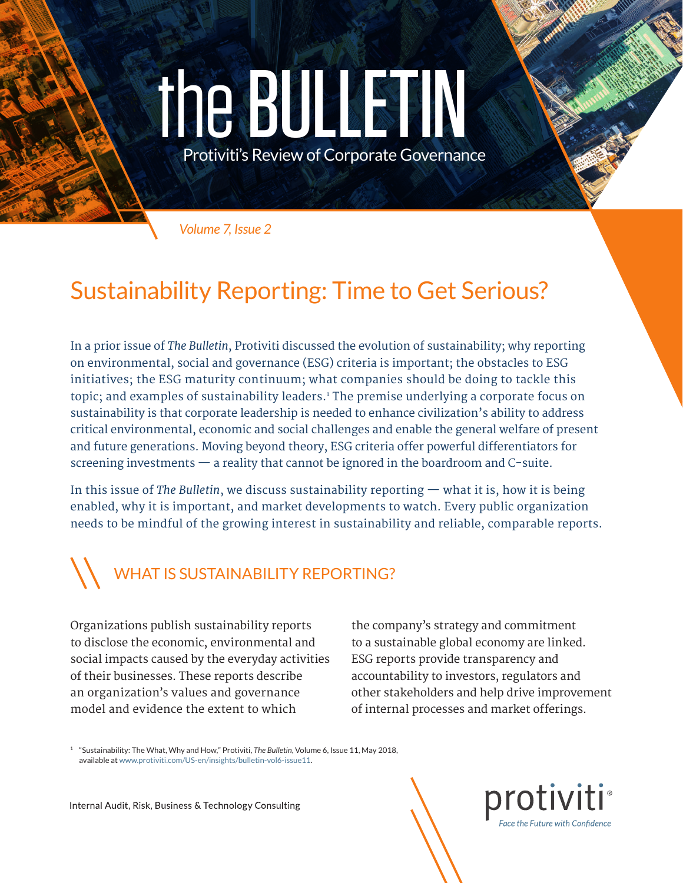# the BULLETIN

Protiviti's Review of Corporate Governance

*Volume 7, Issue 2*

## Sustainability Reporting: Time to Get Serious?

In a prior issue of *The Bulletin*, Protiviti discussed the evolution of sustainability; why reporting on environmental, social and governance (ESG) criteria is important; the obstacles to ESG initiatives; the ESG maturity continuum; what companies should be doing to tackle this topic; and examples of sustainability leaders.1 The premise underlying a corporate focus on sustainability is that corporate leadership is needed to enhance civilization's ability to address critical environmental, economic and social challenges and enable the general welfare of present and future generations. Moving beyond theory, ESG criteria offer powerful differentiators for screening investments — a reality that cannot be ignored in the boardroom and C-suite.

In this issue of *The Bulletin*, we discuss sustainability reporting — what it is, how it is being enabled, why it is important, and market developments to watch. Every public organization needs to be mindful of the growing interest in sustainability and reliable, comparable reports.

# WHAT IS SUSTAINABILITY REPORTING?

Organizations publish sustainability reports to disclose the economic, environmental and social impacts caused by the everyday activities of their businesses. These reports describe an organization's values and governance model and evidence the extent to which

the company's strategy and commitment to a sustainable global economy are linked. ESG reports provide transparency and accountability to investors, regulators and other stakeholders and help drive improvement of internal processes and market offerings.

<sup>1</sup> "Sustainability: The What, Why and How," Protiviti, *The Bulletin*, Volume 6, Issue 11, May 2018, available at [www.protiviti.com/US-en/insights/bulletin-vol6-issue11.](http://www.protiviti.com/US-en/insights/bulletin-vol6-issue11)

Internal Audit, Risk, Business & Technology Consulting

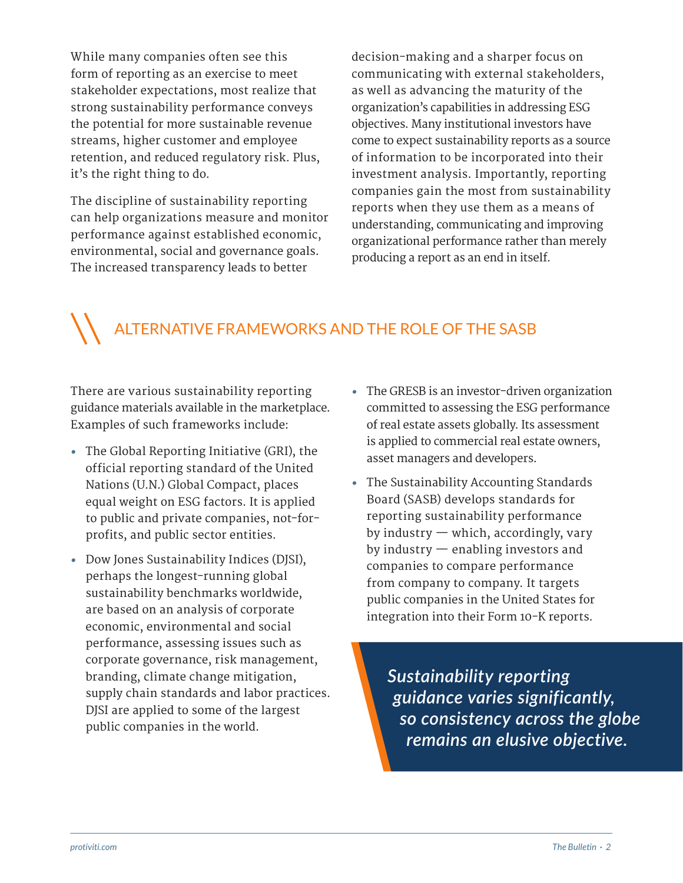While many companies often see this form of reporting as an exercise to meet stakeholder expectations, most realize that strong sustainability performance conveys the potential for more sustainable revenue streams, higher customer and employee retention, and reduced regulatory risk. Plus, it's the right thing to do.

The discipline of sustainability reporting can help organizations measure and monitor performance against established economic, environmental, social and governance goals. The increased transparency leads to better

decision-making and a sharper focus on communicating with external stakeholders, as well as advancing the maturity of the organization's capabilities in addressing ESG objectives. Many institutional investors have come to expect sustainability reports as a source of information to be incorporated into their investment analysis. Importantly, reporting companies gain the most from sustainability reports when they use them as a means of understanding, communicating and improving organizational performance rather than merely producing a report as an end in itself.

#### ALTERNATIVE FRAMEWORKS AND THE ROLE OF THE SASB

There are various sustainability reporting guidance materials available in the marketplace. Examples of such frameworks include:

- **•** The Global Reporting Initiative (GRI), the official reporting standard of the United Nations (U.N.) Global Compact, places equal weight on ESG factors. It is applied to public and private companies, not-forprofits, and public sector entities.
- **•** Dow Jones Sustainability Indices (DJSI), perhaps the longest-running global sustainability benchmarks worldwide, are based on an analysis of corporate economic, environmental and social performance, assessing issues such as corporate governance, risk management, branding, climate change mitigation, supply chain standards and labor practices. DJSI are applied to some of the largest public companies in the world.
- **•** The GRESB is an investor-driven organization committed to assessing the ESG performance of real estate assets globally. Its assessment is applied to commercial real estate owners, asset managers and developers.
- **•** The Sustainability Accounting Standards Board (SASB) develops standards for reporting sustainability performance by industry — which, accordingly, vary by industry — enabling investors and companies to compare performance from company to company. It targets public companies in the United States for integration into their Form 10-K reports.

*Sustainability reporting guidance varies significantly, so consistency across the globe remains an elusive objective.*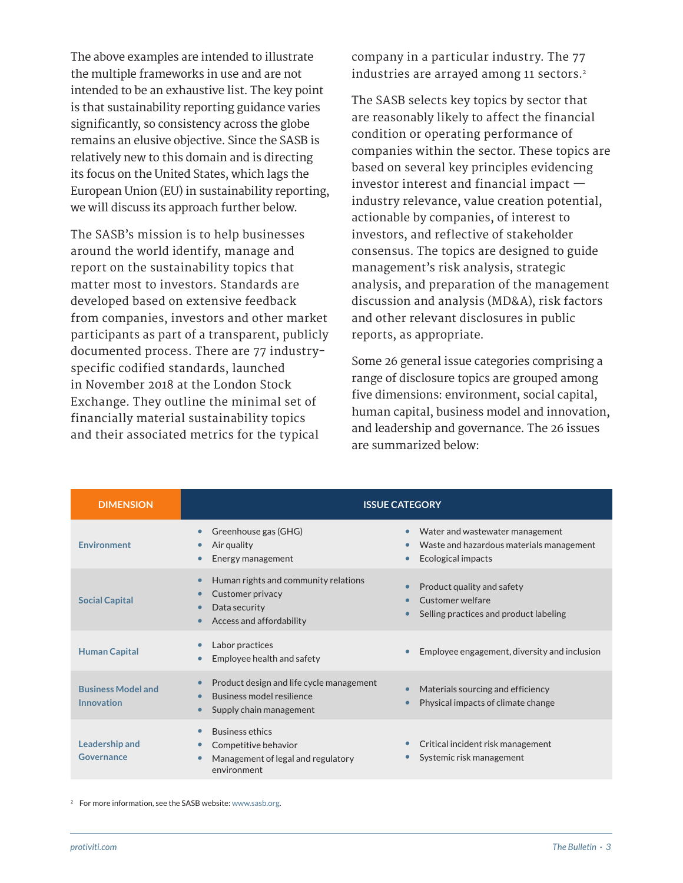The above examples are intended to illustrate the multiple frameworks in use and are not intended to be an exhaustive list. The key point is that sustainability reporting guidance varies significantly, so consistency across the globe remains an elusive objective. Since the SASB is relatively new to this domain and is directing its focus on the United States, which lags the European Union (EU) in sustainability reporting, we will discuss its approach further below.

The SASB's mission is to help businesses around the world identify, manage and report on the sustainability topics that matter most to investors. Standards are developed based on extensive feedback from companies, investors and other market participants as part of a transparent, publicly documented process. There are 77 industryspecific codified standards, launched in November 2018 at the London Stock Exchange. They outline the minimal set of financially material sustainability topics and their associated metrics for the typical

company in a particular industry. The 77 industries are arrayed among 11 sectors.<sup>2</sup>

The SASB selects key topics by sector that are reasonably likely to affect the financial condition or operating performance of companies within the sector. These topics are based on several key principles evidencing investor interest and financial impact industry relevance, value creation potential, actionable by companies, of interest to investors, and reflective of stakeholder consensus. The topics are designed to guide management's risk analysis, strategic analysis, and preparation of the management discussion and analysis (MD&A), risk factors and other relevant disclosures in public reports, as appropriate.

Some 26 general issue categories comprising a range of disclosure topics are grouped among five dimensions: environment, social capital, human capital, business model and innovation, and leadership and governance. The 26 issues are summarized below:

| <b>DIMENSION</b>                        | <b>ISSUE CATEGORY</b>                                                                                            |                                                                                                                          |
|-----------------------------------------|------------------------------------------------------------------------------------------------------------------|--------------------------------------------------------------------------------------------------------------------------|
| <b>Environment</b>                      | Greenhouse gas (GHG)<br>$\bullet$<br>Air quality<br>Energy management                                            | Water and wastewater management<br>$\bullet$<br>Waste and hazardous materials management<br>۰<br>Ecological impacts<br>c |
| <b>Social Capital</b>                   | Human rights and community relations<br>Customer privacy<br>Data security<br>Access and affordability            | Product quality and safety<br>Customer welfare<br>٥<br>Selling practices and product labeling                            |
| <b>Human Capital</b>                    | Labor practices<br>Employee health and safety                                                                    | Employee engagement, diversity and inclusion                                                                             |
| <b>Business Model and</b><br>Innovation | Product design and life cycle management<br>Business model resilience<br>Supply chain management                 | Materials sourcing and efficiency<br>Physical impacts of climate change<br>$\bullet$                                     |
| <b>Leadership and</b><br>Governance     | <b>Business ethics</b><br>Competitive behavior<br>$\bullet$<br>Management of legal and regulatory<br>environment | Critical incident risk management<br>Systemic risk management                                                            |

<sup>2</sup> For more information, see the SASB website: [www.sasb.org.](http://www.sasb.org)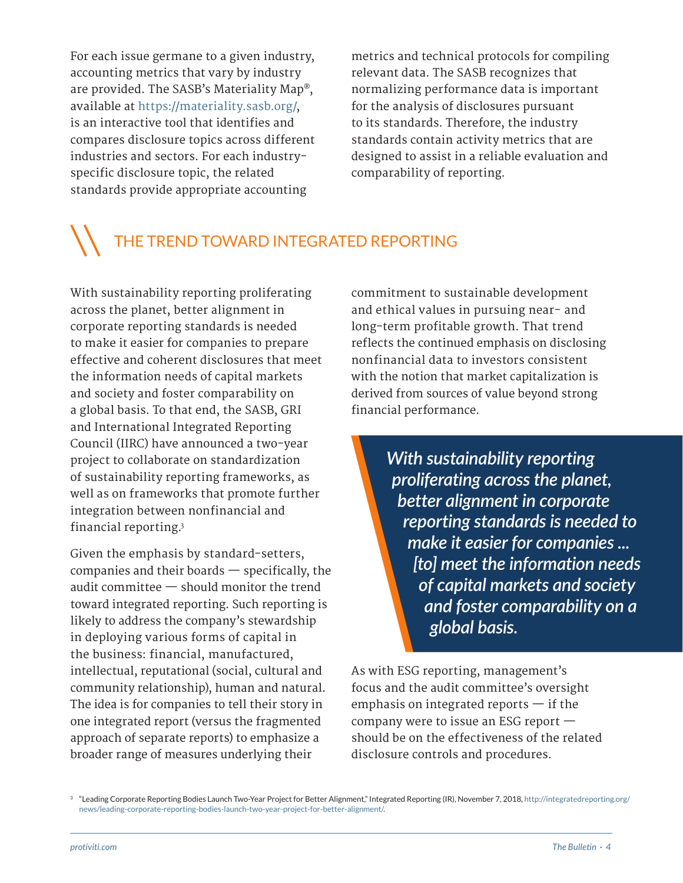For each issue germane to a given industry, accounting metrics that vary by industry are provided. The SASB's Materiality Map®, available at [https://materiality.sasb.org/,](https://materiality.sasb.org) is an interactive tool that identifies and compares disclosure topics across different industries and sectors. For each industryspecific disclosure topic, the related standards provide appropriate accounting

metrics and technical protocols for compiling relevant data. The SASB recognizes that normalizing performance data is important for the analysis of disclosures pursuant to its standards. Therefore, the industry standards contain activity metrics that are designed to assist in a reliable evaluation and comparability of reporting.

### THE TREND TOWARD INTEGRATED REPORTING

With sustainability reporting proliferating across the planet, better alignment in corporate reporting standards is needed to make it easier for companies to prepare effective and coherent disclosures that meet the information needs of capital markets and society and foster comparability on a global basis. To that end, the SASB, GRI and International Integrated Reporting Council (IIRC) have announced a two-year project to collaborate on standardization of sustainability reporting frameworks, as well as on frameworks that promote further integration between nonfinancial and financial reporting.3

Given the emphasis by standard-setters, companies and their boards — specifically, the audit committee — should monitor the trend toward integrated reporting. Such reporting is likely to address the company's stewardship in deploying various forms of capital in the business: financial, manufactured, intellectual, reputational (social, cultural and community relationship), human and natural. The idea is for companies to tell their story in one integrated report (versus the fragmented approach of separate reports) to emphasize a broader range of measures underlying their

commitment to sustainable development and ethical values in pursuing near- and long-term profitable growth. That trend reflects the continued emphasis on disclosing nonfinancial data to investors consistent with the notion that market capitalization is derived from sources of value beyond strong financial performance.

> *With sustainability reporting proliferating across the planet, better alignment in corporate reporting standards is needed to make it easier for companies ... [to] meet the information needs of capital markets and society and foster comparability on a global basis.*

As with ESG reporting, management's focus and the audit committee's oversight emphasis on integrated reports  $-$  if the company were to issue an ESG report should be on the effectiveness of the related disclosure controls and procedures.

<sup>3</sup> "Leading Corporate Reporting Bodies Launch Two-Year Project for Better Alignment," Integrated Reporting (IR), November 7, 2018, [http://integratedreporting.org/](http://integratedreporting.org/news/leading-corporate-reporting-bodies-launch-two-year-project-for-better-alignment/) [news/leading-corporate-reporting-bodies-launch-two-year-project-for-better-alignment/.](http://integratedreporting.org/news/leading-corporate-reporting-bodies-launch-two-year-project-for-better-alignment/)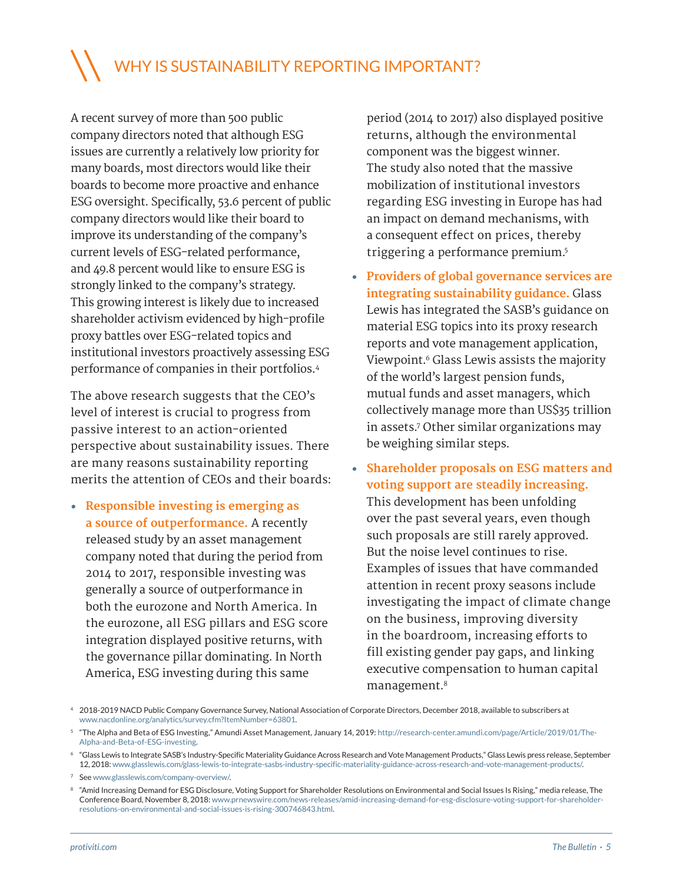#### WHY IS SUSTAINABILITY REPORTING IMPORTANT?

A recent survey of more than 500 public company directors noted that although ESG issues are currently a relatively low priority for many boards, most directors would like their boards to become more proactive and enhance ESG oversight. Specifically, 53.6 percent of public company directors would like their board to improve its understanding of the company's current levels of ESG-related performance, and 49.8 percent would like to ensure ESG is strongly linked to the company's strategy. This growing interest is likely due to increased shareholder activism evidenced by high-profile proxy battles over ESG-related topics and institutional investors proactively assessing ESG performance of companies in their portfolios.4

The above research suggests that the CEO's level of interest is crucial to progress from passive interest to an action-oriented perspective about sustainability issues. There are many reasons sustainability reporting merits the attention of CEOs and their boards:

**• Responsible investing is emerging as a source of outperformance.** A recently released study by an asset management company noted that during the period from 2014 to 2017, responsible investing was generally a source of outperformance in both the eurozone and North America. In the eurozone, all ESG pillars and ESG score integration displayed positive returns, with the governance pillar dominating. In North America, ESG investing during this same

period (2014 to 2017) also displayed positive returns, although the environmental component was the biggest winner. The study also noted that the massive mobilization of institutional investors regarding ESG investing in Europe has had an impact on demand mechanisms, with a consequent effect on prices, thereby triggering a performance premium.5

- **• Providers of global governance services are integrating sustainability guidance.** Glass Lewis has integrated the SASB's guidance on material ESG topics into its proxy research reports and vote management application, Viewpoint.<sup>6</sup> Glass Lewis assists the majority of the world's largest pension funds, mutual funds and asset managers, which collectively manage more than US\$35 trillion in assets.7 Other similar organizations may be weighing similar steps.
- **• Shareholder proposals on ESG matters and voting support are steadily increasing.** This development has been unfolding over the past several years, even though such proposals are still rarely approved. But the noise level continues to rise. Examples of issues that have commanded attention in recent proxy seasons include investigating the impact of climate change on the business, improving diversity in the boardroom, increasing efforts to fill existing gender pay gaps, and linking executive compensation to human capital management.8

<sup>4</sup> 2018-2019 NACD Public Company Governance Survey, National Association of Corporate Directors, December 2018, available to subscribers at [www.nacdonline.org/analytics/survey.cfm?ItemNumber=63801.](http://www.nacdonline.org/analytics/survey.cfm?ItemNumber=63801)

<sup>&</sup>lt;sup>5</sup> "The Alpha and Beta of ESG Investing," Amundi Asset Management, January 14, 2019: [http://research-center.amundi.com/page/Article/2019/01/The-](http://research-center.amundi.com/page/Article/2019/01/The-Alpha-and-Beta-of-ESG-investing)[Alpha-and-Beta-of-ESG-investing.](http://research-center.amundi.com/page/Article/2019/01/The-Alpha-and-Beta-of-ESG-investing)

<sup>6</sup> "Glass Lewis to Integrate SASB's Industry-Specific Materiality Guidance Across Research and Vote Management Products," Glass Lewis press release, September 12, 2018: [www.glasslewis.com/glass-lewis-to-integrate-sasbs-industry-specific-materiality-guidance-across-research-and-vote-management-products/.](http://www.glasslewis.com/glass-lewis-to-integrate-sasbs-industry-specific-materiality-guidance-across-research-and-vote-management-products/)

<sup>7</sup> See [www.glasslewis.com/company-overview/.](http://www.glasslewis.com/company-overview/)

<sup>8</sup> "Amid Increasing Demand for ESG Disclosure, Voting Support for Shareholder Resolutions on Environmental and Social Issues Is Rising," media release, The Conference Board, November 8, 2018: [www.prnewswire.com/news-releases/amid-increasing-demand-for-esg-disclosure-voting-support-for-shareholder](http://www.prnewswire.com/news-releases/amid-increasing-demand-for-esg-disclosure-voting-support-for-shareholder-resolutions-on-environmental-and-social-issues-is-rising-300746843.html)[resolutions-on-environmental-and-social-issues-is-rising-300746843.html](http://www.prnewswire.com/news-releases/amid-increasing-demand-for-esg-disclosure-voting-support-for-shareholder-resolutions-on-environmental-and-social-issues-is-rising-300746843.html).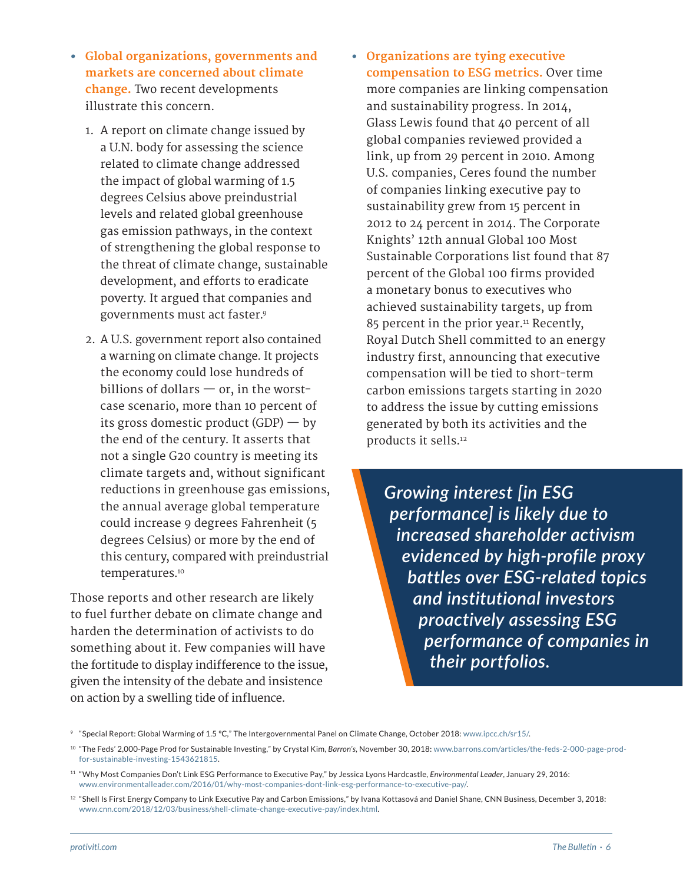- **• Global organizations, governments and markets are concerned about climate change.** Two recent developments illustrate this concern.
	- 1. A report on climate change issued by a U.N. body for assessing the science related to climate change addressed the impact of global warming of 1.5 degrees Celsius above preindustrial levels and related global greenhouse gas emission pathways, in the context of strengthening the global response to the threat of climate change, sustainable development, and efforts to eradicate poverty. It argued that companies and governments must act faster.9
	- 2. A U.S. government report also contained a warning on climate change. It projects the economy could lose hundreds of billions of dollars  $-$  or, in the worstcase scenario, more than 10 percent of its gross domestic product  $(GDP)$  — by the end of the century. It asserts that not a single G20 country is meeting its climate targets and, without significant reductions in greenhouse gas emissions, the annual average global temperature could increase 9 degrees Fahrenheit (5 degrees Celsius) or more by the end of this century, compared with preindustrial temperatures.<sup>10</sup>

Those reports and other research are likely to fuel further debate on climate change and harden the determination of activists to do something about it. Few companies will have the fortitude to display indifference to the issue, given the intensity of the debate and insistence on action by a swelling tide of influence.

**• Organizations are tying executive compensation to ESG metrics.** Over time more companies are linking compensation and sustainability progress. In 2014, Glass Lewis found that 40 percent of all global companies reviewed provided a link, up from 29 percent in 2010. Among U.S. companies, Ceres found the number of companies linking executive pay to sustainability grew from 15 percent in 2012 to 24 percent in 2014. The Corporate Knights' 12th annual Global 100 Most Sustainable Corporations list found that 87 percent of the Global 100 firms provided a monetary bonus to executives who achieved sustainability targets, up from 85 percent in the prior year.<sup>11</sup> Recently, Royal Dutch Shell committed to an energy industry first, announcing that executive compensation will be tied to short-term carbon emissions targets starting in 2020 to address the issue by cutting emissions generated by both its activities and the products it sells.12

> *Growing interest [in ESG performance] is likely due to increased shareholder activism evidenced by high-profile proxy battles over ESG-related topics and institutional investors proactively assessing ESG performance of companies in their portfolios.*

<sup>&</sup>lt;sup>9</sup> "Special Report: Global Warming of 1.5 °C," The Intergovernmental Panel on Climate Change, October 2018: [www.ipcc.ch/sr15/](http://www.ipcc.ch/sr15/).

<sup>10</sup> "The Feds' 2,000-Page Prod for Sustainable Investing," by Crystal Kim, *Barron's*, November 30, 2018: [www.barrons.com/articles/the-feds-2-000-page-prod](http://www.barrons.com/articles/the-feds-2-000-page-prod-for-sustainable-investing-1543621815)[for-sustainable-investing-1543621815](http://www.barrons.com/articles/the-feds-2-000-page-prod-for-sustainable-investing-1543621815).

<sup>11</sup> "Why Most Companies Don't Link ESG Performance to Executive Pay," by Jessica Lyons Hardcastle, *Environmental Leader*, January 29, 2016: [www.environmentalleader.com/2016/01/why-most-companies-dont-link-esg-performance-to-executive-pay/.](http://www.environmentalleader.com/2016/01/why-most-companies-dont-link-esg-performance-to-executive-pay/)

<sup>&</sup>lt;sup>12</sup> "Shell Is First Energy Company to Link Executive Pay and Carbon Emissions," by Ivana Kottasová and Daniel Shane, CNN Business, December 3, 2018: [www.cnn.com/2018/12/03/business/shell-climate-change-executive-pay/index.html.](http://www.cnn.com/2018/12/03/business/shell-climate-change-executive-pay/index.html)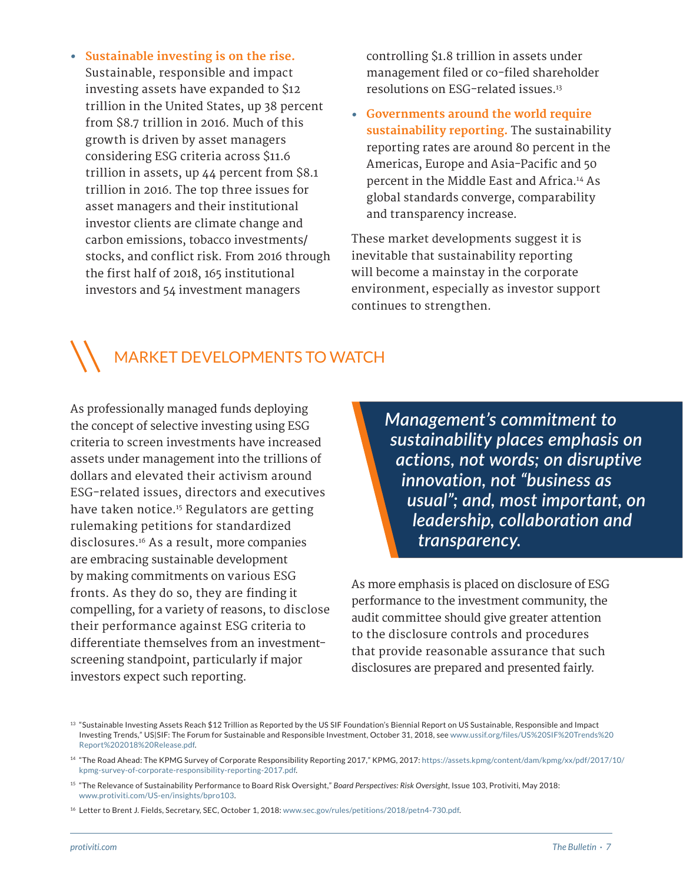**• Sustainable investing is on the rise.** Sustainable, responsible and impact investing assets have expanded to \$12 trillion in the United States, up 38 percent from \$8.7 trillion in 2016. Much of this growth is driven by asset managers considering ESG criteria across \$11.6 trillion in assets, up 44 percent from \$8.1 trillion in 2016. The top three issues for asset managers and their institutional investor clients are climate change and carbon emissions, tobacco investments/ stocks, and conflict risk. From 2016 through the first half of 2018, 165 institutional investors and 54 investment managers

controlling \$1.8 trillion in assets under management filed or co-filed shareholder resolutions on ESG-related issues.13

**• Governments around the world require sustainability reporting.** The sustainability reporting rates are around 80 percent in the Americas, Europe and Asia-Pacific and 50 percent in the Middle East and Africa.14 As global standards converge, comparability and transparency increase.

These market developments suggest it is inevitable that sustainability reporting will become a mainstay in the corporate environment, especially as investor support continues to strengthen.

#### MARKET DEVELOPMENTS TO WATCH

As professionally managed funds deploying the concept of selective investing using ESG criteria to screen investments have increased assets under management into the trillions of dollars and elevated their activism around ESG-related issues, directors and executives have taken notice.<sup>15</sup> Regulators are getting rulemaking petitions for standardized disclosures.16 As a result, more companies are embracing sustainable development by making commitments on various ESG fronts. As they do so, they are finding it compelling, for a variety of reasons, to disclose their performance against ESG criteria to differentiate themselves from an investmentscreening standpoint, particularly if major investors expect such reporting.

*Management's commitment to sustainability places emphasis on actions, not words; on disruptive innovation, not "business as usual"; and, most important, on leadership, collaboration and transparency.* 

As more emphasis is placed on disclosure of ESG performance to the investment community, the audit committee should give greater attention to the disclosure controls and procedures that provide reasonable assurance that such disclosures are prepared and presented fairly.

<sup>&</sup>lt;sup>13</sup> "Sustainable Investing Assets Reach \$12 Trillion as Reported by the US SIF Foundation's Biennial Report on US Sustainable, Responsible and Impact Investing Trends," US|SIF: The Forum for Sustainable and Responsible Investment, October 31, 2018, see [www.ussif.org/files/US%20SIF%20Trends%20](http://www.ussif.org/files/US%20SIF%20Trends%20Report%202018%20Release.pdf) [Report%202018%20Release.pdf.](http://www.ussif.org/files/US%20SIF%20Trends%20Report%202018%20Release.pdf)

<sup>14</sup> "The Road Ahead: The KPMG Survey of Corporate Responsibility Reporting 2017," KPMG, 2017: [https://assets.kpmg/content/dam/kpmg/xx/pdf/2017/10/](https://assets.kpmg/content/dam/kpmg/xx/pdf/2017/10/kpmg-survey-of-corporate-responsibility-reporting-2017.pdf) [kpmg-survey-of-corporate-responsibility-reporting-2017.pdf](https://assets.kpmg/content/dam/kpmg/xx/pdf/2017/10/kpmg-survey-of-corporate-responsibility-reporting-2017.pdf).

<sup>15</sup> "The Relevance of Sustainability Performance to Board Risk Oversight," *Board Perspectives: Risk Oversight*, Issue 103, Protiviti, May 2018: [www.protiviti.com/US-en/insights/bpro103](http://www.protiviti.com/US-en/insights/bpro103).

<sup>16</sup> Letter to Brent J. Fields, Secretary, SEC, October 1, 2018: [www.sec.gov/rules/petitions/2018/petn4-730.pdf.](http://www.sec.gov/rules/petitions/2018/petn4-730.pdf)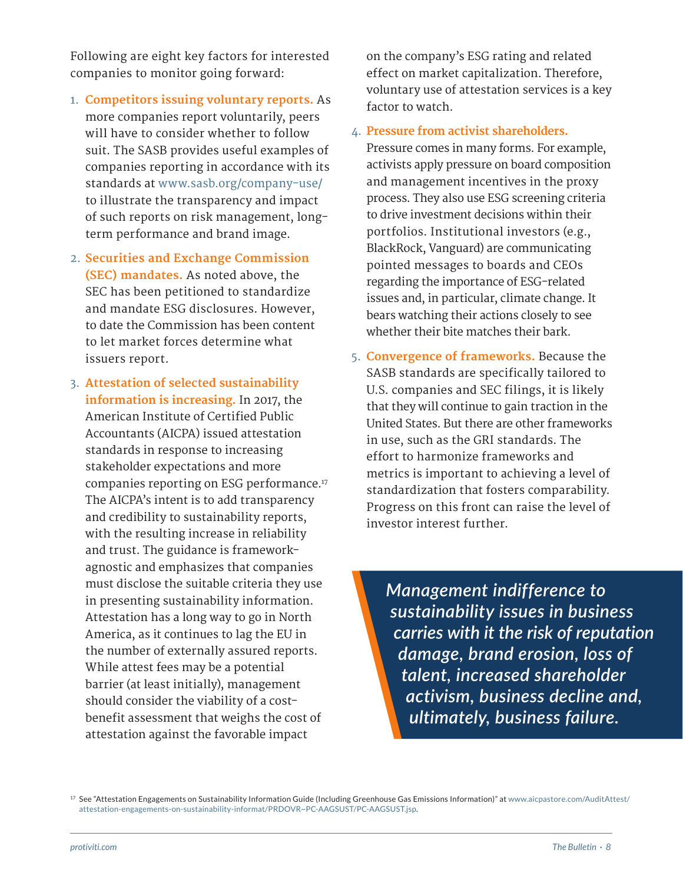Following are eight key factors for interested companies to monitor going forward:

- 1. **Competitors issuing voluntary reports.** As more companies report voluntarily, peers will have to consider whether to follow suit. The SASB provides useful examples of companies reporting in accordance with its standards at [www.sasb.org/company-use/](http://www.sasb.org/company-use/) to illustrate the transparency and impact of such reports on risk management, longterm performance and brand image.
- 2. **Securities and Exchange Commission (SEC) mandates.** As noted above, the SEC has been petitioned to standardize and mandate ESG disclosures. However, to date the Commission has been content to let market forces determine what issuers report.
- 3. **Attestation of selected sustainability information is increasing.** In 2017, the American Institute of Certified Public Accountants (AICPA) issued attestation standards in response to increasing stakeholder expectations and more companies reporting on ESG performance.17 The AICPA's intent is to add transparency and credibility to sustainability reports, with the resulting increase in reliability and trust. The guidance is frameworkagnostic and emphasizes that companies must disclose the suitable criteria they use in presenting sustainability information. Attestation has a long way to go in North America, as it continues to lag the EU in the number of externally assured reports. While attest fees may be a potential barrier (at least initially), management should consider the viability of a costbenefit assessment that weighs the cost of attestation against the favorable impact

on the company's ESG rating and related effect on market capitalization. Therefore, voluntary use of attestation services is a key factor to watch.

4. **Pressure from activist shareholders.**

Pressure comes in many forms. For example, activists apply pressure on board composition and management incentives in the proxy process. They also use ESG screening criteria to drive investment decisions within their portfolios. Institutional investors (e.g., BlackRock, Vanguard) are communicating pointed messages to boards and CEOs regarding the importance of ESG-related issues and, in particular, climate change. It bears watching their actions closely to see whether their bite matches their bark.

5. **Convergence of frameworks.** Because the SASB standards are specifically tailored to U.S. companies and SEC filings, it is likely that they will continue to gain traction in the United States. But there are other frameworks in use, such as the GRI standards. The effort to harmonize frameworks and metrics is important to achieving a level of standardization that fosters comparability. Progress on this front can raise the level of investor interest further.

> *Management indifference to sustainability issues in business carries with it the risk of reputation damage, brand erosion, loss of talent, increased shareholder activism, business decline and, ultimately, business failure.*

<sup>&</sup>lt;sup>17</sup> See "Attestation Engagements on Sustainability Information Guide (Including Greenhouse Gas Emissions Information)" at [www.aicpastore.com/AuditAttest/](http://www.aicpastore.com/AuditAttest/attestation-engagements-on-sustainability-informat/PRDOVR~PC-AAGSUST/PC-AAGSUST.jsp) [attestation-engagements-on-sustainability-informat/PRDOVR~PC-AAGSUST/PC-AAGSUST.jsp](http://www.aicpastore.com/AuditAttest/attestation-engagements-on-sustainability-informat/PRDOVR~PC-AAGSUST/PC-AAGSUST.jsp).